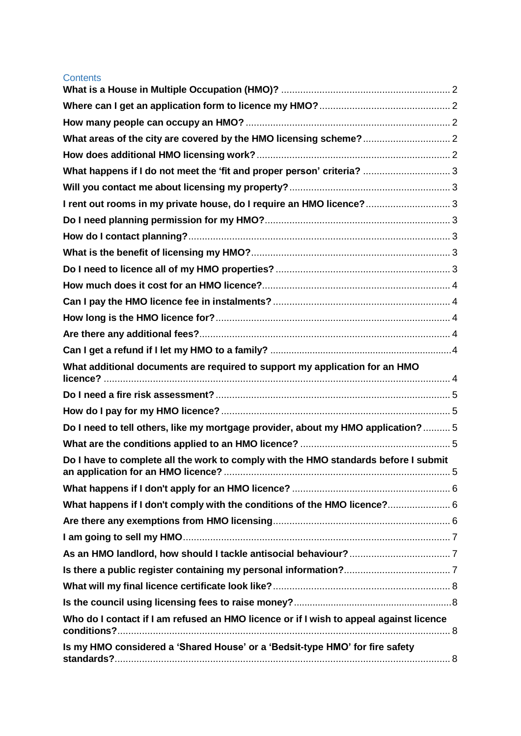| <b>Contents</b>                                                                                       |  |
|-------------------------------------------------------------------------------------------------------|--|
|                                                                                                       |  |
|                                                                                                       |  |
|                                                                                                       |  |
|                                                                                                       |  |
|                                                                                                       |  |
| What happens if I do not meet the 'fit and proper person' criteria?  3                                |  |
|                                                                                                       |  |
| I rent out rooms in my private house, do I require an HMO licence? 3                                  |  |
|                                                                                                       |  |
|                                                                                                       |  |
|                                                                                                       |  |
|                                                                                                       |  |
|                                                                                                       |  |
|                                                                                                       |  |
|                                                                                                       |  |
|                                                                                                       |  |
|                                                                                                       |  |
| What additional documents are required to support my application for an HMO                           |  |
|                                                                                                       |  |
|                                                                                                       |  |
| Do I need to tell others, like my mortgage provider, about my HMO application? 5                      |  |
|                                                                                                       |  |
| Do I have to complete all the work to comply with the HMO standards before I submit                   |  |
|                                                                                                       |  |
|                                                                                                       |  |
| What happens if I don't comply with the conditions of the HMO licence? 6                              |  |
|                                                                                                       |  |
|                                                                                                       |  |
|                                                                                                       |  |
|                                                                                                       |  |
|                                                                                                       |  |
|                                                                                                       |  |
| Who do I contact if I am refused an HMO licence or if I wish to appeal against licence<br>conditions? |  |
| Is my HMO considered a 'Shared House' or a 'Bedsit-type HMO' for fire safety                          |  |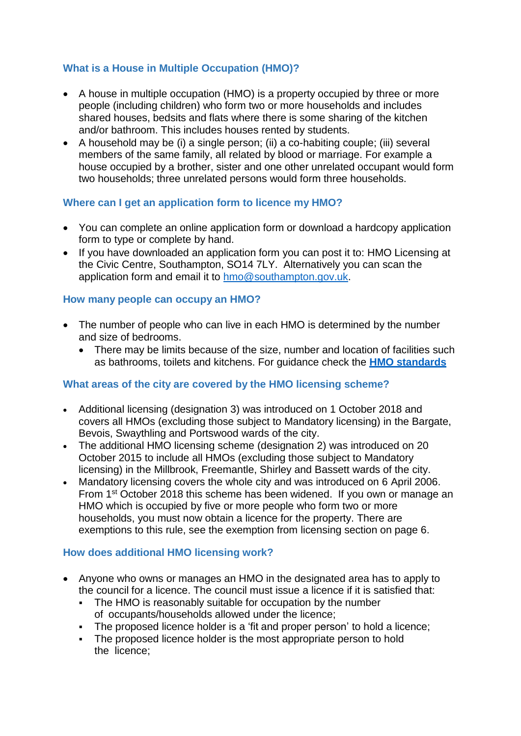# <span id="page-1-0"></span>**What is a House in Multiple Occupation (HMO)?**

- A house in multiple occupation (HMO) is a property occupied by three or more people (including children) who form two or more households and includes shared houses, bedsits and flats where there is some sharing of the kitchen and/or bathroom. This includes houses rented by students.
- A household may be (i) a single person; (ii) a co-habiting couple; (iii) several members of the same family, all related by blood or marriage. For example a house occupied by a brother, sister and one other unrelated occupant would form two households; three unrelated persons would form three households.

### <span id="page-1-1"></span>**Where can I get an application form to licence my HMO?**

- You can complete an online application form or download a hardcopy application form to type or complete by hand.
- If you have downloaded an application form you can post it to: HMO Licensing at the Civic Centre, Southampton, SO14 7LY. Alternatively you can scan the application form and email it to [hmo@southampton.gov.uk.](mailto:hmo@southampton.gov.uk)

### <span id="page-1-2"></span>**How many people can occupy an HMO?**

- The number of people who can live in each HMO is determined by the number and size of bedrooms.
	- There may be limits because of the size, number and location of facilities such as bathrooms, toilets and kitchens. For guidance check the **HMO [standards](http://www.southampton.gov.uk/images/guidance-on-hmo-standards-v2_tcm63-368099.pdf)**

### <span id="page-1-3"></span>**What areas of the city are covered by the HMO licensing scheme?**

- Additional licensing (designation 3) was introduced on 1 October 2018 and covers all HMOs (excluding those subject to Mandatory licensing) in the Bargate, Bevois, Swaythling and Portswood wards of the city.
- The additional HMO licensing scheme (designation 2) was introduced on 20 October 2015 to include all HMOs (excluding those subject to Mandatory licensing) in the Millbrook, Freemantle, Shirley and Bassett wards of the city.
- Mandatory licensing covers the whole city and was introduced on 6 April 2006. From 1<sup>st</sup> October 2018 this scheme has been widened. If you own or manage an HMO which is occupied by five or more people who form two or more households, you must now obtain a licence for the property. There are exemptions to this rule, see the exemption from licensing section on page 6.

### <span id="page-1-4"></span>**How does additional HMO licensing work?**

- Anyone who owns or manages an HMO in the designated area has to apply to the council for a licence. The council must issue a licence if it is satisfied that:
	- The HMO is reasonably suitable for occupation by the number of occupants/households allowed under the licence;
	- The proposed licence holder is a 'fit and proper person' to hold a licence;
	- The proposed licence holder is the most appropriate person to hold the licence;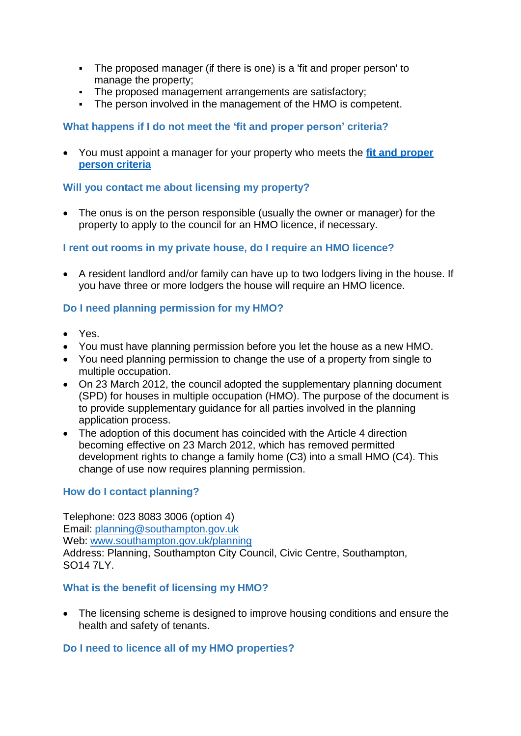- The proposed manager (if there is one) is a 'fit and proper person' to manage the property;
- The proposed management arrangements are satisfactory;
- The person involved in the management of the HMO is competent.

# <span id="page-2-0"></span>**What happens if I do not meet the 'fit and proper person' criteria?**

 You must appoint a manager for your property who meets the **fit and proper person criteria**

# <span id="page-2-1"></span>**Will you contact me about licensing my property?**

• The onus is on the person responsible (usually the owner or manager) for the property to apply to the council for an HMO licence, if necessary.

# <span id="page-2-2"></span>**I rent out rooms in my private house, do I require an HMO licence?**

 A resident landlord and/or family can have up to two lodgers living in the house. If you have three or more lodgers the house will require an HMO licence.

# <span id="page-2-3"></span>**Do I need planning permission for my HMO?**

- Yes.
- You must have planning permission before you let the house as a new HMO.
- You need planning permission to change the use of a property from single to multiple occupation.
- On 23 March 2012, the council adopted the supplementary planning document (SPD) for houses in multiple occupation (HMO). The purpose of the document is to provide supplementary guidance for all parties involved in the planning application process.
- The adoption of this document has coincided with the Article 4 direction becoming effective on 23 March 2012, which has removed permitted development rights to change a family home (C3) into a small HMO (C4). This change of use now requires planning permission.

# <span id="page-2-4"></span>**How do I contact planning?**

Telephone: 023 8083 3006 (option 4) Email: [planning@southampton.gov.uk](mailto:planning@southampton.gov.uk) Web: [www.southampton.gov.uk/planning](http://www.southampton.gov.uk/planning) Address: Planning, Southampton City Council, Civic Centre, Southampton, SO14 7LY.

### <span id="page-2-5"></span>**What is the benefit of licensing my HMO?**

 The licensing scheme is designed to improve housing conditions and ensure the health and safety of tenants.

# <span id="page-2-6"></span>**Do I need to licence all of my HMO properties?**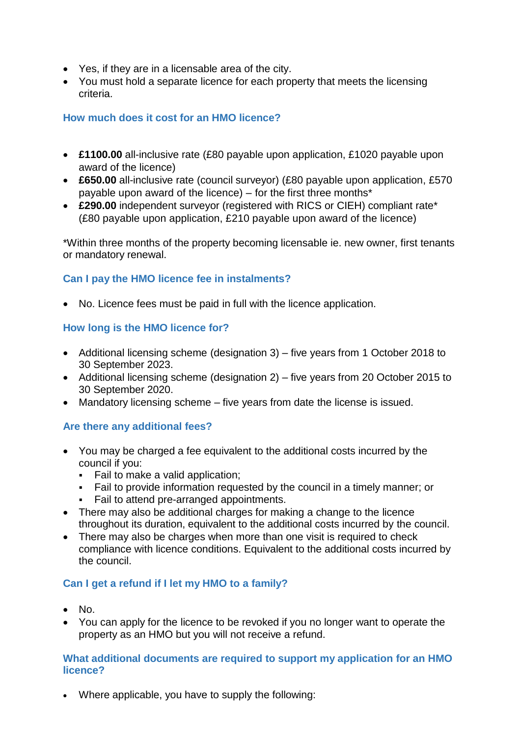- Yes, if they are in a licensable area of the city.
- You must hold a separate licence for each property that meets the licensing criteria.

# <span id="page-3-0"></span>**How much does it cost for an HMO licence?**

- **£1100.00** all-inclusive rate (£80 payable upon application, £1020 payable upon award of the licence)
- **£650.00** all-inclusive rate (council surveyor) (£80 payable upon application, £570 payable upon award of the licence) – for the first three months\*
- **£290.00** independent surveyor (registered with RICS or CIEH) compliant rate\* (£80 payable upon application, £210 payable upon award of the licence)

\*Within three months of the property becoming licensable ie. new owner, first tenants or mandatory renewal.

# <span id="page-3-1"></span>**Can I pay the HMO licence fee in instalments?**

No. Licence fees must be paid in full with the licence application.

# <span id="page-3-2"></span>**How long is the HMO licence for?**

- Additional licensing scheme (designation 3) five years from 1 October 2018 to 30 September 2023.
- Additional licensing scheme (designation 2) five years from 20 October 2015 to 30 September 2020.
- Mandatory licensing scheme five years from date the license is issued.

# <span id="page-3-3"></span>**Are there any additional fees?**

- You may be charged a fee equivalent to the additional costs incurred by the council if you:
	- Fail to make a valid application;
	- Fail to provide information requested by the council in a timely manner; or
	- Fail to attend pre-arranged appointments.
- There may also be additional charges for making a change to the licence throughout its duration, equivalent to the additional costs incurred by the council.
- There may also be charges when more than one visit is required to check compliance with licence conditions. Equivalent to the additional costs incurred by the council.

# <span id="page-3-4"></span>**Can I get a refund if I let my HMO to a family?**

- $\bullet$  No.
- You can apply for the licence to be revoked if you no longer want to operate the property as an HMO but you will not receive a refund.

### <span id="page-3-5"></span>**What additional documents are required to support my application for an HMO licence?**

Where applicable, you have to supply the following: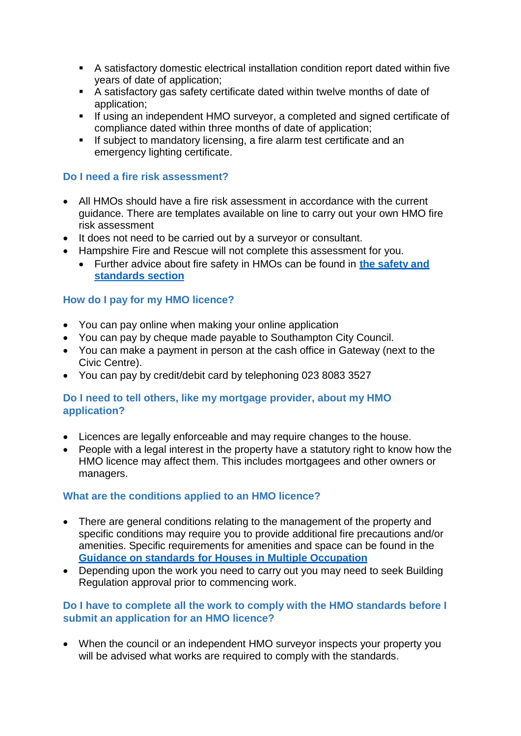- A satisfactory domestic electrical installation condition report dated within five years of date of application;
- A satisfactory gas safety certificate dated within twelve months of date of application;
- **If using an independent HMO surveyor, a completed and signed certificate of** compliance dated within three months of date of application;
- If subject to mandatory licensing, a fire alarm test certificate and an emergency lighting certificate.

### <span id="page-4-0"></span>**Do I need a fire risk assessment?**

- All HMOs should have a fire risk assessment in accordance with the current guidance. There are templates available on line to carry out your own HMO fire risk assessment
- It does not need to be carried out by a surveyor or consultant.
- Hampshire Fire and Rescue will not complete this assessment for you.
	- Further advice about fire safety in HMOs can be found in **the [safety](http://www.southampton.gov.uk/housing/landlords/houses-multiple-occupation/safety-standards.aspx) and [standards](http://www.southampton.gov.uk/housing/landlords/houses-multiple-occupation/safety-standards.aspx) section**

### <span id="page-4-1"></span>**How do I pay for my HMO licence?**

- You can pay online when making your online application
- You can pay by cheque made payable to Southampton City Council.
- You can make a payment in person at the cash office in Gateway (next to the Civic Centre).
- You can pay by credit/debit card by telephoning 023 8083 3527

### <span id="page-4-2"></span>**Do I need to tell others, like my mortgage provider, about my HMO application?**

- Licences are legally enforceable and may require changes to the house.
- People with a legal interest in the property have a statutory right to know how the HMO licence may affect them. This includes mortgagees and other owners or managers.

### <span id="page-4-3"></span>**What are the conditions applied to an HMO licence?**

- There are general conditions relating to the management of the property and specific conditions may require you to provide additional fire precautions and/or amenities. Specific requirements for amenities and space can be found in the **Guidance on standards for Houses [in Multiple Occupation](http://www.southampton.gov.uk/images/guidance-on-hmo-standards-v2_tcm63-368099.pdf)**
- Depending upon the work you need to carry out you may need to seek Building Regulation approval prior to commencing work.

### <span id="page-4-4"></span>**Do I have to complete all the work to comply with the HMO standards before I submit an application for an HMO licence?**

 When the council or an independent HMO surveyor inspects your property you will be advised what works are required to comply with the standards.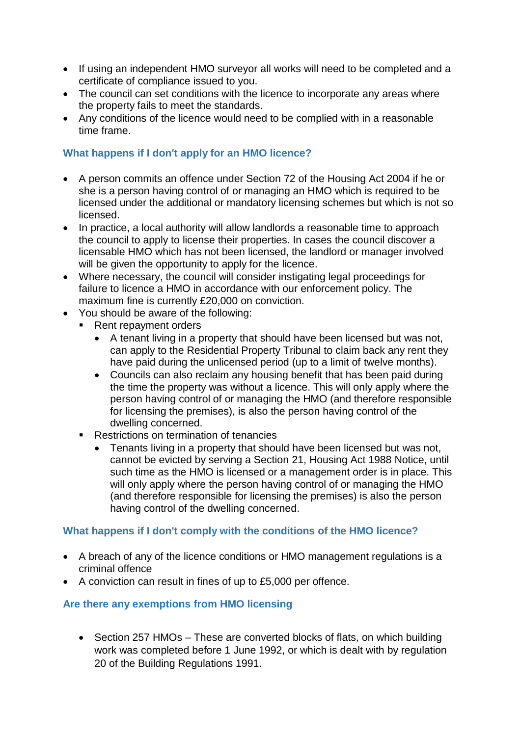- If using an independent HMO surveyor all works will need to be completed and a certificate of compliance issued to you.
- The council can set conditions with the licence to incorporate any areas where the property fails to meet the standards.
- Any conditions of the licence would need to be complied with in a reasonable time frame.

# <span id="page-5-0"></span>**What happens if I don't apply for an HMO licence?**

- A person commits an offence under Section 72 of the Housing Act 2004 if he or she is a person having control of or managing an HMO which is required to be licensed under the additional or mandatory licensing schemes but which is not so licensed.
- In practice, a local authority will allow landlords a reasonable time to approach the council to apply to license their properties. In cases the council discover a licensable HMO which has not been licensed, the landlord or manager involved will be given the opportunity to apply for the licence.
- Where necessary, the council will consider instigating legal proceedings for failure to licence a HMO in accordance with our enforcement policy. The maximum fine is currently £20,000 on conviction.
- You should be aware of the following:
	- Rent repayment orders
		- A tenant living in a property that should have been licensed but was not, can apply to the Residential Property Tribunal to claim back any rent they have paid during the unlicensed period (up to a limit of twelve months).
		- Councils can also reclaim any housing benefit that has been paid during the time the property was without a licence. This will only apply where the person having control of or managing the HMO (and therefore responsible for licensing the premises), is also the person having control of the dwelling concerned.
	- Restrictions on termination of tenancies
		- Tenants living in a property that should have been licensed but was not, cannot be evicted by serving a Section 21, Housing Act 1988 Notice, until such time as the HMO is licensed or a management order is in place. This will only apply where the person having control of or managing the HMO (and therefore responsible for licensing the premises) is also the person having control of the dwelling concerned.

# <span id="page-5-1"></span>**What happens if I don't comply with the conditions of the HMO licence?**

- A breach of any of the licence conditions or HMO management regulations is a criminal offence
- A conviction can result in fines of up to £5,000 per offence.

# <span id="page-5-2"></span>**Are there any exemptions from HMO licensing**

• Section 257 HMOs – These are converted blocks of flats, on which building work was completed before 1 June 1992, or which is dealt with by regulation 20 of the Building Regulations 1991.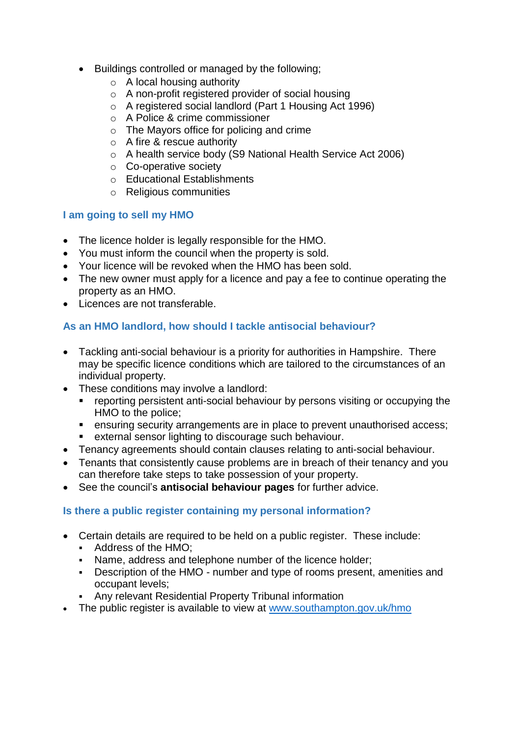- Buildings controlled or managed by the following;
	- $\circ$  A local housing authority
	- o A non-profit registered provider of social housing
	- o A registered social landlord (Part 1 Housing Act 1996)
	- o A Police & crime commissioner
	- o The Mayors office for policing and crime
	- o A fire & rescue authority
	- o A health service body (S9 National Health Service Act 2006)
	- o Co-operative society
	- o Educational Establishments
	- o Religious communities

# <span id="page-6-0"></span>**I am going to sell my HMO**

- The licence holder is legally responsible for the HMO.
- You must inform the council when the property is sold.
- Your licence will be revoked when the HMO has been sold.
- The new owner must apply for a licence and pay a fee to continue operating the property as an HMO.
- Licences are not transferable.

# <span id="page-6-1"></span>**As an HMO landlord, how should I tackle antisocial behaviour?**

- Tackling anti-social behaviour is a priority for authorities in Hampshire. There may be specific licence conditions which are tailored to the circumstances of an individual property.
- These conditions may involve a landlord:
	- reporting persistent anti-social behaviour by persons visiting or occupying the HMO to the police;
	- **EXT** ensuring security arrangements are in place to prevent unauthorised access;<br>**EXECUTE:** external sensor lighting to discourage such behaviour
	- external sensor lighting to discourage such behaviour.
- Tenancy agreements should contain clauses relating to anti-social behaviour.
- Tenants that consistently cause problems are in breach of their tenancy and you can therefore take steps to take possession of your property.
- See the council's **antisocial [behaviour](http://www.southampton.gov.uk/people-places/community-safety/default.aspx) pages** for further advice.

# <span id="page-6-2"></span>**Is there a public register containing my personal information?**

- Certain details are required to be held on a public register. These include:
	- Address of the HMO:
	- Name, address and telephone number of the licence holder;
	- Description of the HMO number and type of rooms present, amenities and occupant levels;
	- Any relevant Residential Property Tribunal information
- The public register is available to view at [www.southampton.gov.uk/hmo](http://www.southampton.gov.uk/hmo)